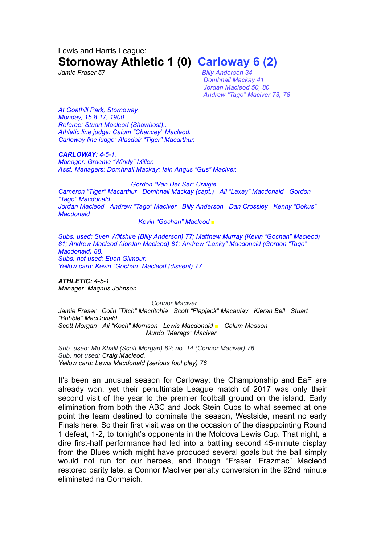## Lewis and Harris League: **Stornoway Athletic 1 (0) Carloway 6 (2)**

*Jamie Fraser 57 Billy Anderson 34 Domhnall Mackay 41 Jordan Macleod 50, 80 Andrew "Tago" Maciver 73, 78*

*At Goathill Park, Stornoway. Monday, 15.8.17, 1900. Referee: Stuart Macleod (Shawbost).. Athletic line judge: Calum "Chancey" Macleod. Carloway line judge: Alasdair "Tiger" Macarthur.*

*CARLOWAY: 4-5-1. Manager: Graeme "Windy" Miller. Asst. Managers: Domhnall Mackay; Iain Angus "Gus" Maciver.*

*Gordon "Van Der Sar" Craigie Cameron "Tiger" Macarthur Domhnall Mackay (capt.) Ali "Laxay" Macdonald Gordon "Tago" Macdonald Jordan Macleod Andrew "Tago" Maciver Billy Anderson Dan Crossley Kenny "Dokus" Macdonald*

*Kevin "Gochan" Macleod* ■

*Subs. used: Sven Wiltshire (Billy Anderson) 77; Matthew Murray (Kevin "Gochan" Macleod) 81; Andrew Macleod (Jordan Macleod) 81; Andrew "Lanky" Macdonald (Gordon "Tago" Macdonald) 88. Subs. not used: Euan Gilmour. Yellow card: Kevin "Gochan" Macleod (dissent) 77.*

*ATHLETIC: 4-5-1 Manager: Magnus Johnson.*

*Connor Maciver Jamie Fraser Colin "Titch" Macritchie Scott "Flapjack" Macaulay Kieran Bell Stuart "Bubble" MacDonald Scott Morgan Ali "Koch" Morrison Lewis Macdonald ■ Calum Masson Murdo "Marags" Maciver*

*Sub. used: Mo Khalil (Scott Morgan) 62; no. 14 (Connor Maciver) 76. Sub. not used: Craig Macleod. Yellow card: Lewis Macdonald (serious foul play) 76*

It's been an unusual season for Carloway: the Championship and EaF are already won, yet their penultimate League match of 2017 was only their second visit of the year to the premier football ground on the island. Early elimination from both the ABC and Jock Stein Cups to what seemed at one point the team destined to dominate the season, Westside, meant no early Finals here. So their first visit was on the occasion of the disappointing Round 1 defeat, 1-2, to tonight's opponents in the Moldova Lewis Cup. That night, a dire first-half performance had led into a battling second 45-minute display from the Blues which might have produced several goals but the ball simply would not run for our heroes, and though "Fraser "Frazmac" Macleod restored parity late, a Connor Macliver penalty conversion in the 92nd minute eliminated na Gormaich.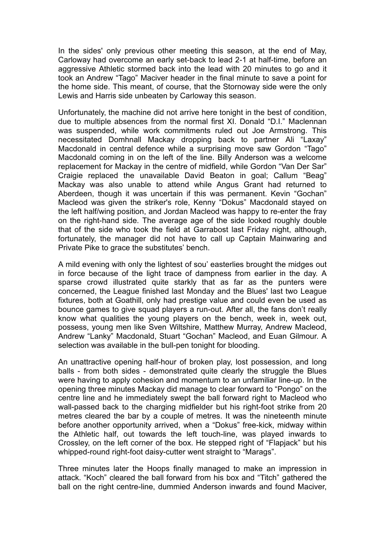In the sides' only previous other meeting this season, at the end of May, Carloway had overcome an early set-back to lead 2-1 at half-time, before an aggressive Athletic stormed back into the lead with 20 minutes to go and it took an Andrew "Tago" Maciver header in the final minute to save a point for the home side. This meant, of course, that the Stornoway side were the only Lewis and Harris side unbeaten by Carloway this season.

Unfortunately, the machine did not arrive here tonight in the best of condition, due to multiple absences from the normal first XI. Donald "D.I." Maclennan was suspended, while work commitments ruled out Joe Armstrong. This necessitated Domhnall Mackay dropping back to partner Ali "Laxay" Macdonald in central defence while a surprising move saw Gordon "Tago" Macdonald coming in on the left of the line. Billy Anderson was a welcome replacement for Mackay in the centre of midfield, while Gordon "Van Der Sar" Craigie replaced the unavailable David Beaton in goal; Callum "Beag" Mackay was also unable to attend while Angus Grant had returned to Aberdeen, though it was uncertain if this was permanent. Kevin "Gochan" Macleod was given the striker's role, Kenny "Dokus" Macdonald stayed on the left half/wing position, and Jordan Macleod was happy to re-enter the fray on the right-hand side. The average age of the side looked roughly double that of the side who took the field at Garrabost last Friday night, although, fortunately, the manager did not have to call up Captain Mainwaring and Private Pike to grace the substitutes' bench.

A mild evening with only the lightest of sou' easterlies brought the midges out in force because of the light trace of dampness from earlier in the day. A sparse crowd illustrated quite starkly that as far as the punters were concerned, the League finished last Monday and the Blues' last two League fixtures, both at Goathill, only had prestige value and could even be used as bounce games to give squad players a run-out. After all, the fans don't really know what qualities the young players on the bench, week in, week out, possess, young men like Sven Wiltshire, Matthew Murray, Andrew Macleod, Andrew "Lanky" Macdonald, Stuart "Gochan" Macleod, and Euan Gilmour. A selection was available in the bull-pen tonight for blooding.

An unattractive opening half-hour of broken play, lost possession, and long balls - from both sides - demonstrated quite clearly the struggle the Blues were having to apply cohesion and momentum to an unfamiliar line-up. In the opening three minutes Mackay did manage to clear forward to "Pongo" on the centre line and he immediately swept the ball forward right to Macleod who wall-passed back to the charging midfielder but his right-foot strike from 20 metres cleared the bar by a couple of metres. It was the nineteenth minute before another opportunity arrived, when a "Dokus" free-kick, midway within the Athletic half, out towards the left touch-line, was played inwards to Crossley, on the left corner of the box. He stepped right of "Flapjack" but his whipped-round right-foot daisy-cutter went straight to "Marags".

Three minutes later the Hoops finally managed to make an impression in attack. "Koch" cleared the ball forward from his box and "Titch" gathered the ball on the right centre-line, dummied Anderson inwards and found Maciver,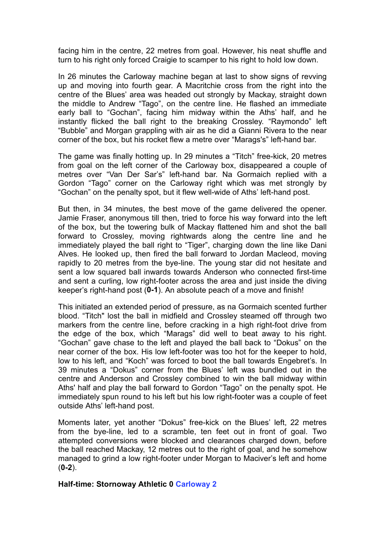facing him in the centre, 22 metres from goal. However, his neat shuffle and turn to his right only forced Craigie to scamper to his right to hold low down.

In 26 minutes the Carloway machine began at last to show signs of revving up and moving into fourth gear. A Macritchie cross from the right into the centre of the Blues' area was headed out strongly by Mackay, straight down the middle to Andrew "Tago", on the centre line. He flashed an immediate early ball to "Gochan", facing him midway within the Aths' half, and he instantly flicked the ball right to the breaking Crossley. "Raymondo" left "Bubble" and Morgan grappling with air as he did a Gianni Rivera to the near corner of the box, but his rocket flew a metre over "Marags's" left-hand bar.

The game was finally hotting up. In 29 minutes a "Titch" free-kick, 20 metres from goal on the left corner of the Carloway box, disappeared a couple of metres over "Van Der Sar's" left-hand bar. Na Gormaich replied with a Gordon "Tago" corner on the Carloway right which was met strongly by "Gochan" on the penalty spot, but it flew well-wide of Aths' left-hand post.

But then, in 34 minutes, the best move of the game delivered the opener. Jamie Fraser, anonymous till then, tried to force his way forward into the left of the box, but the towering bulk of Mackay flattened him and shot the ball forward to Crossley, moving rightwards along the centre line and he immediately played the ball right to "Tiger", charging down the line like Dani Alves. He looked up, then fired the ball forward to Jordan Macleod, moving rapidly to 20 metres from the bye-line. The young star did not hesitate and sent a low squared ball inwards towards Anderson who connected first-time and sent a curling, low right-footer across the area and just inside the diving keeper's right-hand post (**0-1**). An absolute peach of a move and finish!

This initiated an extended period of pressure, as na Gormaich scented further blood. "Titch" lost the ball in midfield and Crossley steamed off through two markers from the centre line, before cracking in a high right-foot drive from the edge of the box, which "Marags" did well to beat away to his right. "Gochan" gave chase to the left and played the ball back to "Dokus" on the near corner of the box. His low left-footer was too hot for the keeper to hold, low to his left, and "Koch" was forced to boot the ball towards Engebret's. In 39 minutes a "Dokus" corner from the Blues' left was bundled out in the centre and Anderson and Crossley combined to win the ball midway within Aths' half and play the ball forward to Gordon "Tago" on the penalty spot. He immediately spun round to his left but his low right-footer was a couple of feet outside Aths' left-hand post.

Moments later, yet another "Dokus" free-kick on the Blues' left, 22 metres from the bye-line, led to a scramble, ten feet out in front of goal. Two attempted conversions were blocked and clearances charged down, before the ball reached Mackay, 12 metres out to the right of goal, and he somehow managed to grind a low right-footer under Morgan to Maciver's left and home (**0-2**).

## **Half-time: Stornoway Athletic 0 Carloway 2**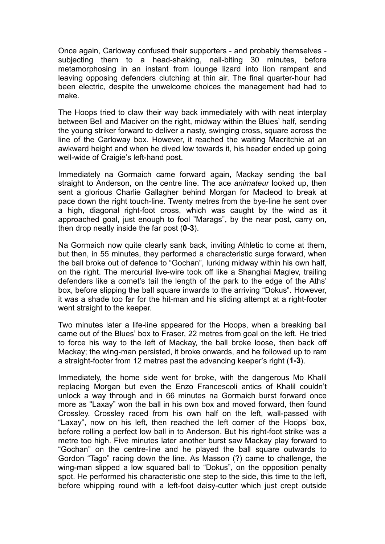Once again, Carloway confused their supporters - and probably themselves subjecting them to a head-shaking, nail-biting 30 minutes, before metamorphosing in an instant from lounge lizard into lion rampant and leaving opposing defenders clutching at thin air. The final quarter-hour had been electric, despite the unwelcome choices the management had had to make.

The Hoops tried to claw their way back immediately with with neat interplay between Bell and Maciver on the right, midway within the Blues' half, sending the young striker forward to deliver a nasty, swinging cross, square across the line of the Carloway box. However, it reached the waiting Macritchie at an awkward height and when he dived low towards it, his header ended up going well-wide of Craigie's left-hand post.

Immediately na Gormaich came forward again, Mackay sending the ball straight to Anderson, on the centre line. The ace *animateur* looked up, then sent a glorious Charlie Gallagher behind Morgan for Macleod to break at pace down the right touch-line. Twenty metres from the bye-line he sent over a high, diagonal right-foot cross, which was caught by the wind as it approached goal, just enough to fool "Marags", by the near post, carry on, then drop neatly inside the far post (**0-3**).

Na Gormaich now quite clearly sank back, inviting Athletic to come at them, but then, in 55 minutes, they performed a characteristic surge forward, when the ball broke out of defence to "Gochan", lurking midway within his own half, on the right. The mercurial live-wire took off like a Shanghai Maglev, trailing defenders like a comet's tail the length of the park to the edge of the Aths' box, before slipping the ball square inwards to the arriving "Dokus". However, it was a shade too far for the hit-man and his sliding attempt at a right-footer went straight to the keeper.

Two minutes later a life-line appeared for the Hoops, when a breaking ball came out of the Blues' box to Fraser, 22 metres from goal on the left. He tried to force his way to the left of Mackay, the ball broke loose, then back off Mackay; the wing-man persisted, it broke onwards, and he followed up to ram a straight-footer from 12 metres past the advancing keeper's right (**1-3**).

Immediately, the home side went for broke, with the dangerous Mo Khalil replacing Morgan but even the Enzo Francescoli antics of Khalil couldn't unlock a way through and in 66 minutes na Gormaich burst forward once more as "Laxay" won the ball in his own box and moved forward, then found Crossley. Crossley raced from his own half on the left, wall-passed with "Laxay", now on his left, then reached the left corner of the Hoops' box, before rolling a perfect low ball in to Anderson. But his right-foot strike was a metre too high. Five minutes later another burst saw Mackay play forward to "Gochan" on the centre-line and he played the ball square outwards to Gordon "Tago" racing down the line. As Masson (?) came to challenge, the wing-man slipped a low squared ball to "Dokus", on the opposition penalty spot. He performed his characteristic one step to the side, this time to the left, before whipping round with a left-foot daisy-cutter which just crept outside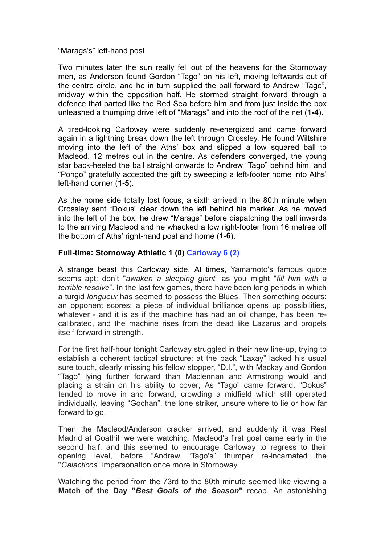"Marags's" left-hand post.

Two minutes later the sun really fell out of the heavens for the Stornoway men, as Anderson found Gordon "Tago" on his left, moving leftwards out of the centre circle, and he in turn supplied the ball forward to Andrew "Tago", midway within the opposition half. He stormed straight forward through a defence that parted like the Red Sea before him and from just inside the box unleashed a thumping drive left of "Marags" and into the roof of the net (**1-4**).

A tired-looking Carloway were suddenly re-energized and came forward again in a lightning break down the left through Crossley. He found Wiltshire moving into the left of the Aths' box and slipped a low squared ball to Macleod, 12 metres out in the centre. As defenders converged, the young star back-heeled the ball straight onwards to Andrew "Tago" behind him, and "Pongo" gratefully accepted the gift by sweeping a left-footer home into Aths' left-hand corner (**1-5**).

As the home side totally lost focus, a sixth arrived in the 80th minute when Crossley sent "Dokus" clear down the left behind his marker. As he moved into the left of the box, he drew "Marags" before dispatching the ball inwards to the arriving Macleod and he whacked a low right-footer from 16 metres off the bottom of Aths' right-hand post and home (**1-6**).

## **Full-time: Stornoway Athletic 1 (0) Carloway 6 (2)**

A strange beast this Carloway side. At times, Yamamoto's famous quote seems apt: don't "*awaken a sleeping giant*" as you might "*fill him with a terrible resolve*". In the last few games, there have been long periods in which a turgid *longueur* has seemed to possess the Blues. Then something occurs: an opponent scores; a piece of individual brilliance opens up possibilities, whatever - and it is as if the machine has had an oil change, has been recalibrated, and the machine rises from the dead like Lazarus and propels itself forward in strength.

For the first half-hour tonight Carloway struggled in their new line-up, trying to establish a coherent tactical structure: at the back "Laxay" lacked his usual sure touch, clearly missing his fellow stopper, "D.I.", with Mackay and Gordon "Tago" lying further forward than Maclennan and Armstrong would and placing a strain on his ability to cover; As "Tago" came forward, "Dokus" tended to move in and forward, crowding a midfield which still operated individually, leaving "Gochan", the lone striker, unsure where to lie or how far forward to go.

Then the Macleod/Anderson cracker arrived, and suddenly it was Real Madrid at Goathill we were watching. Macleod's first goal came early in the second half, and this seemed to encourage Carloway to regress to their opening level, before "Andrew "Tago's" thumper re-incarnated the "*Galacticos*" impersonation once more in Stornoway.

Watching the period from the 73rd to the 80th minute seemed like viewing a **Match of the Day "***Best Goals of the Season***"** recap. An astonishing